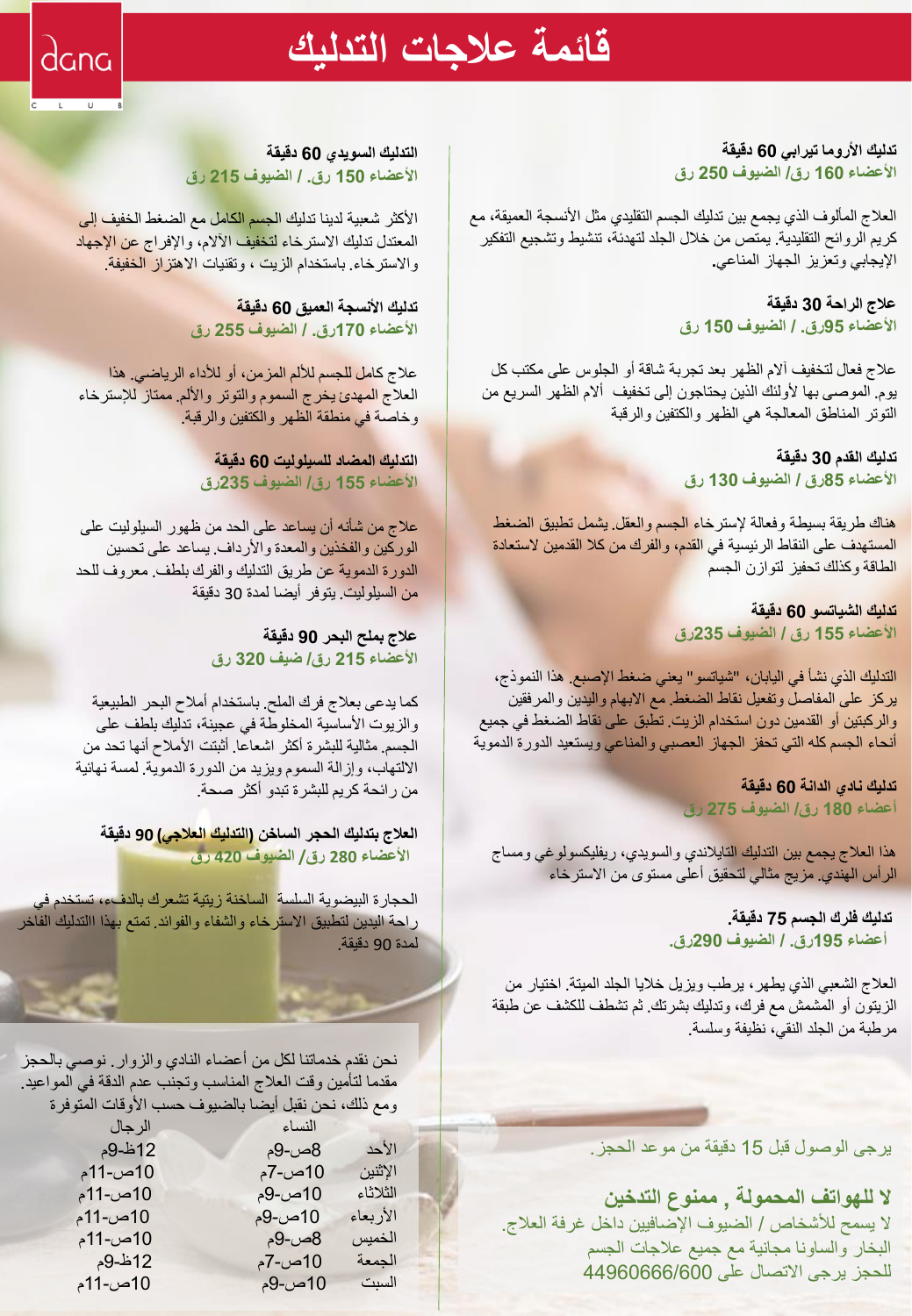# **قائمة عالجات التدليك**

dana

 $\overline{C}$   $\overline{C}$   $\overline{C}$   $\overline{C}$   $\overline{C}$   $\overline{C}$   $\overline{C}$   $\overline{C}$   $\overline{C}$   $\overline{C}$   $\overline{C}$   $\overline{C}$   $\overline{C}$   $\overline{C}$   $\overline{C}$   $\overline{C}$   $\overline{C}$   $\overline{C}$   $\overline{C}$   $\overline{C}$   $\overline{C}$   $\overline{C}$   $\overline{C}$   $\overline{C}$   $\overline{$ 

**تدليك األروما تيرابي 60 دقيقة األعضاء 160 رق/ الضيوف 250 رق**

العالج المألوف الذي يجمع بين تدليك الجسم التقليدي مثل األنسجة العميقة، مع كريم الروائح التقليدية. يمتص من خالل الجلد لتهدئة، تنشيط وتشجيع التفكير اإليجابي وتعزيز الجهاز المناعي**.**

> **عالج الراحة 30 دقيقة األعضاء 95رق. / الضيوف 150 رق**

عالج فعال لتخفيف آالم الظهر بعد تجربة شاقة أو الجلوس على مكتب كل يوم. الموصى بها ألولئك الذين يحتاجون إلى تخفيف أالم الظهر السريع من التوتر المناطق المعالجة هي الظهر والكتفين والرقبة

> **تدليك القدم 30 دقيقة األعضاء 85رق / الضيوف 130 رق**

<mark>هناك</mark> طريقة بسيطة وفعالة لإسترخاء الجسم والعقل. يشمل تطبيق الضغط المستهدف على النقاط الرئيسية في القدم، والفرك من كال القدمين الستعادة الطاقة وكذلك تحفيز لتوازن الجسم

> **تدليك الشياتسو 60 دقيقة األعضاء 155 رق / الضيوف 235رق**

التدليك الذي نشأ في اليابان، "شياتسو" يعني ضغط اإلصبع. هذا النموذج، يركز على المفاصل وتفعيل نقاط الضغط. مع االبهام واليدين والمرفقين والركبتين أو القدمين دون استخدام الزيت. تطبق على نقاط الضغط في جميع أنحاء الجسم كله التي تحفز الجهاز العصبي والمناعي ويستعيد الدورة الدموية

> **تدليك نادي الدانة 60 دقيقة أعضاء 180 رق/ الضيوف 275 رق**

هذا العالج يجمع بين التدليك التايالندي والسويدي، ريفليكسولوغي ومساج الرأس الهندي. مزيج مثالي لتحقيق أعلى مستوى من االسترخاء

> **تدليك فلرك الجسم 75 دقيقة. أعضاء 195رق. / الضيوف 290رق.**

العالج الشعبي الذي يطهر، يرطب ويزيل خاليا الجلد الميتة. اختيار من الزيتون أو المشمش مع فرك، وتدليك بشرتك. ثم تشطف للكشف عن طبقة مرطبة من الجلد النقي، نظيفة وسلسة.

يرجى الوصول قبل 15 دقيقة من موعد الحجز.

**ال للهواتف المحمولة , ممنوع التدخين** ال يسمح لألشخاص / الضيوف اإلضافيين داخل غرفة العالج. البخار والساونا مجانية مع جميع عالجات الجسم للحجز يرجى االتصال على 44960666/600

**التدليك السويدي 60 دقيقة األعضاء 150 رق. / الضيوف 215 رق**

الأكثر شعبية لدينا تدليك الجسم الكامل مع الضغط الخفيف إل<mark>ى</mark> المعتدل تدليك الاسترخاء <mark>لتخفيف الأ</mark>لام، والإفراج عن الإجهاد والاسترخاء باستخدام الزيت ، وتقنيات الاهتزاز الخفيفة<sub>.</sub>

> **تدليك األنسجة العميق 60 دقيقة األعضاء 170رق. / الضيوف 255 رق**

عالج كامل للجسم لأللم المزمن، أو لألداء الرياضي. هذا العالج المهدئ يخرج السموم والتوتر واأللم. ممتاز لإلسترخاء وخاصة في منطقة الظهر والكتفين والرقبة.

> **التدليك المضاد للسيلوليت 60 دقيقة األعضاء 155 رق/ الضيوف 235رق**

عالج من شأنه أن يساعد على الحد من ظهور السيلوليت على الوركين والفخذين والمعدة والأرداف. يساعد على تحسين الدورة الدموية عن طريق التدليك والفرك بلطف. معروف للحد من السيلوليت. يتوفر أيضا لمدة 30 دقيقة

> **عالج بملح البحر 90 دقيقة األعضاء 215 رق/ ضيف 320 رق**

كما يدعى بعالج فرك الملح. باستخدام أمالح البحر الطبيعية والزيوت الأساسية المخلوطة في عجينة، تدليك بلطف على الجسم. مثالية للبشرة أكثر اشعاعا. أثبتت الأملاح أنها تحد من االلتهاب، وإزالة السموم ويزيد من الدورة الدموية. لمسة نهائية من رائحة كريم للبشرة تبدو أكثر صحة.

**العالج بتدليك الحجر الساخن )التدليك العالجي( 90 دقيقة األعضاء 280 رق/ الضيوف 420 رق**

الحجارة البيضوية السلسة الساخنة زيتية تشعرك بالدفء، تستخدم في راحة اليدين لتطبيق االسترخاء والشفاء والفوائد. تمتع بهذا االتدليك الفاخر لمدة 90 دقيقة.

نحن نقدم خدماتنا لكل من أعضاء النادي والزوار. نوصي بالحجز مقدما لتأمين وقت العالج المناسب وتجنب عدم الدقة في المواعيد. ومع ذلك، نحن نقبل أيضا بالضيوف حسب الأوقات المتوفرة

| الرجال  | النساء |          |
|---------|--------|----------|
| 12ظ-9م  | 8ص-9م  | الأحد    |
| 10ص-11م | 10ص-7م | الإثنين  |
| 10ص-11م | 10ص-9م | الثلاثاء |
| 10ص-11م | 10ص-9م | الأربعاء |
| 10ص-11م | 8ص-9م  | الخميس   |
| 12ظ-9م  | 10ص-7م | الحمعة   |
| 10ص-11م | 10ص-9م | السنت    |